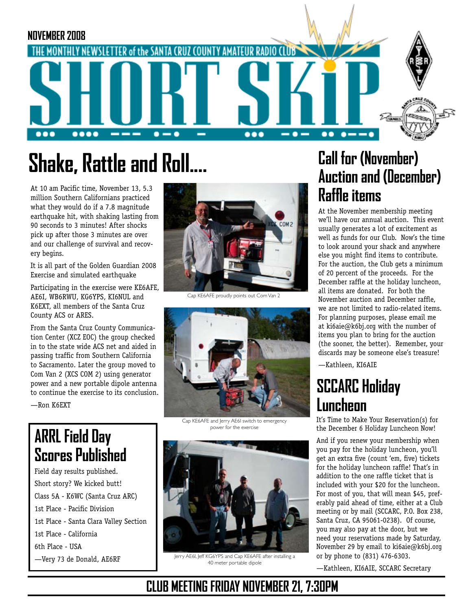

# **Shake, Rattle and Roll....**

At 10 am Pacific time, November 13, 5.3 million Southern Californians practiced what they would do if a 7.8 magnitude earthquake hit, with shaking lasting from 90 seconds to 3 minutes! After shocks pick up after those 3 minutes are over and our challenge of survival and recovery begins.

It is all part of the Golden Guardian 2008 Exercise and simulated earthquake

Participating in the exercise were KE6AFE, AE6I, WB6RWU, KG6YPS, KI6NUL and K6EXT, all members of the Santa Cruz County ACS or ARES.

From the Santa Cruz County Communication Center (XCZ EOC) the group checked in to the state wide ACS net and aided in passing traffic from Southern California to Sacramento. Later the group moved to Com Van 2 (XCS COM 2) using generator power and a new portable dipole antenna to continue the exercise to its conclusion.

—Ron K6EXT

# **ARRL Field Day Scores Published**

Field day results published. Short story? We kicked butt! Class 5A - K6WC (Santa Cruz ARC) 1st Place - Pacific Division 1st Place - Santa Clara Valley Section 1st Place - California 6th Place - USA —Very 73 de Donald, AE6RF



Cap KE6AFE proudly points out Com Van 2



Cap KE6AFE and Jerry AE6I switch to emergency power for the exercise



Jerry AE6I, Jeff KG6YPS and Cap KE6AFE after installing a 40 meter portable dipole

# **Call for (November) Auction and (December) Raffle items**

At the November membership meeting we'll have our annual auction. This event usually generates a lot of excitement as well as funds for our Club. Now's the time to look around your shack and anywhere else you might find items to contribute. For the auction, the Club gets a minimum of 20 percent of the proceeds. For the December raffle at the holiday luncheon, all items are donated. For both the November auction and December raffle, we are not limited to radio-related items. For planning purposes, please email me at ki6aie@k6bj.org with the number of items you plan to bring for the auction (the sooner, the better). Remember, your discards may be someone else's treasure!

—Kathleen, KI6AIE

# **SCCARC Holiday Luncheon**

It's Time to Make Your Reservation(s) for the December 6 Holiday Luncheon Now!

And if you renew your membership when you pay for the holiday luncheon, you'll get an extra five (count 'em, five) tickets for the holiday luncheon raffle! That's in addition to the one raffle ticket that is included with your \$20 for the luncheon. For most of you, that will mean \$45, preferably paid ahead of time, either at a Club meeting or by mail (SCCARC, P.O. Box 238, Santa Cruz, CA 95061-0238). Of course, you may also pay at the door, but we need your reservations made by Saturday, November 29 by email to ki6aie@k6bj.org or by phone to (831) 476-6303.

—Kathleen, KI6AIE, SCCARC Secretary

# **CLUB MEETING FRIDAY NOVEMBER 21, 7:30PM**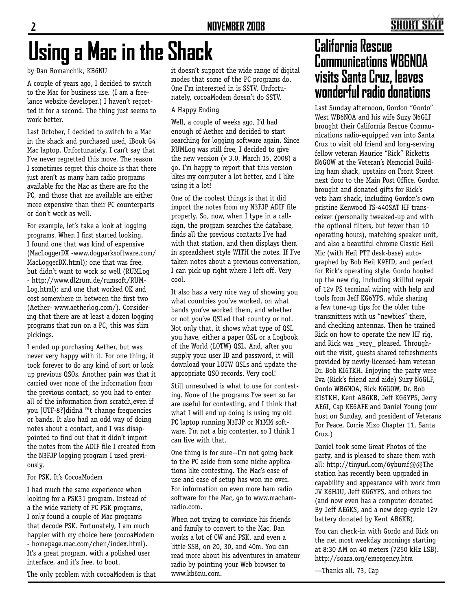# **Using a Mac in the Shack California Rescue**

by Dan Romanchik, KB6NU

A couple of years ago, I decided to switch to the Mac for business use. (I am a freelance website developer.) I haven't regretted it for a second. The thing just seems to work better.

Last October, I decided to switch to a Mac in the shack and purchased used, iBook G4 Mac laptop. Unfortunately, I can't say that I've never regretted this move. The reason I sometimes regret this choice is that there just aren't as many ham radio programs available for the Mac as there are for the PC, and those that are available are either more expensive than their PC counterparts or don't work as well.

For example, let's take a look at logging programs. When I first started looking, I found one that was kind of expensive (MacLoggerDX -www.dogparksoftware.com/ MacLoggerDX.html); one that was free, but didn't want to work so well (RUMLog - http://www.dl2rum.de/rumsoft/RUM-Log.html); and one that worked OK and cost somewhere in between the first two (Aether- www.aetherlog.com/). Considering that there are at least a dozen logging programs that run on a PC, this was slim pickings.

I ended up purchasing Aether, but was never very happy with it. For one thing, it took forever to do any kind of sort or look up previous QSOs. Another pain was that it carried over none of the information from the previous contact, so you had to enter all of the information from scratch,even if you [UTF-8?]didnâ€<sup>™</sup>t change frequencies or bands. It also had an odd way of doing notes about a contact, and I was disappointed to find out that it didn't import the notes from the ADIF file I created from the N3FJP logging program I used previously.

#### For PSK, It's CocoaModem

I had much the same experience when looking for a PSK31 program. Instead of a the wide variety of PC PSK programs, I only found a couple of Mac programs that decode PSK. Fortunately, I am much happier with my choice here (cocoaModem - homepage.mac.com/chen/index.html). It's a great program, with a polished user interface, and it's free, to boot.

The only problem with cocoaModem is that

it doesn't support the wide range of digital modes that some of the PC programs do. One I'm interested in is SSTV. Unfortunately, cocoaModem doesn't do SSTV.

### A Happy Ending

Well, a couple of weeks ago, I'd had enough of Aether and decided to start searching for logging software again. Since RUMLog was still free, I decided to give the new version (v 3.0, March 15, 2008) a go. I'm happy to report that this version likes my computer a lot better, and I like using it a lot!

One of the coolest things is that it did import the notes from my N3FJP ADIF file properly. So, now, when I type in a callsign, the program searches the database, finds all the previous contacts I've had with that station, and then displays them in spreadsheet style WITH the notes. If I've taken notes about a previous conversation, I can pick up right where I left off. Very cool.

It also has a very nice way of showing you what countries you've worked, on what bands you've worked them, and whether or not you've QSLed that country or not. Not only that, it shows what type of QSL you have, either a paper QSL or a Logbook of the World (LOTW) QSL. And, after you supply your user ID and password, it will download your LOTW QSLs and update the appropriate QSO records. Very cool!

Still unresolved is what to use for contesting. None of the programs I've seen so far are useful for contesting, and I think that what I will end up doing is using my old PC laptop running N3FJP or N1MM software. I'm not a big contester, so I think I can live with that.

One thing is for sure--I'm not going back to the PC aside from some niche applications like contesting. The Mac's ease of use and ease of setup has won me over. For information on even more ham radio software for the Mac, go to www.machamradio.com.

When not trying to convince his friends and family to convert to the Mac, Dan works a lot of CW and PSK, and even a little SSB, on 20, 30, and 40m. You can read more about his adventures in amateur radio by pointing your Web browser to www.kb6nu.com.

# **Communications WB6NOA visits Santa Cruz, leaves wonderful radio donations**

Last Sunday afternoon, Gordon "Gordo" West WB6NOA and his wife Suzy N6GLF brought their California Rescue Communications radio-equipped van into Santa Cruz to visit old friend and long-serving fellow veteran Maurice "Rick" Ricketts N6GOW at the Veteran's Memorial Building ham shack, upstairs on Front Street next door to the Main Post Office. Gordon brought and donated gifts for Rick's vets ham shack, including Gordon's own pristine Kenwood TS-440SAT HF transceiver (personally tweaked-up and with the optional filters, but fewer than 10 operating hours), matching speaker unit, and also a beautiful chrome Classic Heil Mic (with Heil PTT desk-base) autographed by Bob Heil K9EID, and perfect for Rick's operating style. Gordo hooked up the new rig, including skillful repair of 12v PS terminal wiring with help and tools from Jeff KG6YPS, while sharing a few tune-up tips for the older tube transmitters with us "newbies" there, and checking antennas. Then he trained Rick on how to operate the new HF rig, and Rick was \_very\_ pleased. Throughout the visit, guests shared refreshments provided by newly-licensed-ham veteran Dr. Bob KI6TKH. Enjoying the party were Eva (Rick's friend and aide) Suzy N6GLF, Gordo WB6NOA, Rick N6GOW, Dr. Bob KI6TKH, Kent AB6KB, Jeff KG6YPS, Jerry AE6I, Cap KE6AFE and Daniel Young (our host on Sunday, and president of Veterans For Peace, Corrie Mizo Chapter 11, Santa Cruz.)

Daniel took some Great Photos of the party, and is pleased to share them with all: http://tinyurl.com/6ybumf@@The station has recently been upgraded in capability and appearance with work from JV K6HJU, Jeff KG6YPS, and others too (and now even has a computer donated By Jeff AE6KS, and a new deep-cycle 12v battery donated by Kent AB6KB).

You can check-in with Gordo and Rick on the net most weekday mornings starting at 8:30 AM on 40 meters (7250 kHz LSB). http://soara.org/emergency.htm

—Thanks all. 73, Cap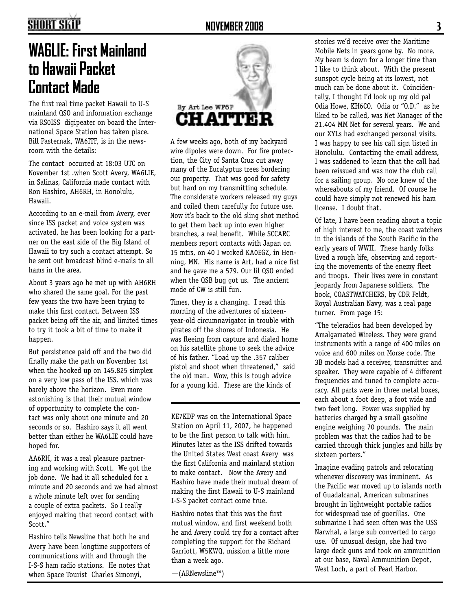### **NOVEMBER 2008 3**

# **SHORT SKIP**

# **WA6LIE: First Mainland to Hawaii Packet Contact Made**

The first real time packet Hawaii to U-S mainland QSO and information exchange via RS0ISS digipeater on board the International Space Station has taken place. Bill Pasternak, WA6ITF, is in the newsroom with the details:

The contact occurred at 18:03 UTC on November 1st .when Scott Avery, WA6LIE, in Salinas, California made contact with Ron Hashiro, AH6RH, in Honolulu, Hawaii.

According to an e-mail from Avery, ever since ISS packet and voice system was activated, he has been looking for a partner on the east side of the Big Island of Hawaii to try such a contact attempt. So he sent out broadcast blind e-mails to all hams in the area.

About 3 years ago he met up with AH6RH who shared the same goal. For the past few years the two have been trying to make this first contact. Between ISS packet being off the air, and limited times to try it took a bit of time to make it happen.

But persistence paid off and the two did finally make the path on November 1st when the hooked up on 145.825 simplex on a very low pass of the ISS. which was barely above the horizon. Even more astonishing is that their mutual window of opportunity to complete the contact was only about one minute and 20 seconds or so. Hashiro says it all went better than either he WA6LIE could have hoped for.

AA6RH, it was a real pleasure partnering and working with Scott. We got the job done. We had it all scheduled for a minute and 20 seconds and we had almost a whole minute left over for sending a couple of extra packets. So I really enjoyed making that record contact with Scott."

Hashiro tells Newsline that both he and Avery have been longtime supporters of communications with and through the I-S-S ham radio stations. He notes that when Space Tourist Charles Simonyi,



A few weeks ago, both of my backyard wire dipoles were down. For fire protection, the City of Santa Cruz cut away many of the Eucalyptus trees bordering our property. That was good for safety but hard on my transmitting schedule. The considerate workers released my guys and coiled them carefully for future use. Now it's back to the old sling shot method to get them back up into even higher branches, a real benefit. While SCCARC members report contacts with Japan on 15 mtrs, on 40 I worked KA0EGZ, in Henning, MN. His name is Art, had a nice fist and he gave me a 579. Our lil QSO ended when the QSB bug got us. The ancient mode of CW is still fun.

Times, they is a changing. I read this morning of the adventures of sixteenyear-old circumnavigator in trouble with pirates off the shores of Indonesia. He was fleeing from capture and dialed home on his satellite phone to seek the advice of his father. "Load up the .357 caliber pistol and shoot when threatened," said the old man. Wow, this is tough advice for a young kid. These are the kinds of

KE7KDP was on the International Space Station on April 11, 2007, he happened to be the first person to talk with him. Minutes later as the ISS drifted towards the United States West coast Avery was the first California and mainland station to make contact. Now the Avery and Hashiro have made their mutual dream of making the first Hawaii to U-S mainland I-S-S packet contact come true.

Hashiro notes that this was the first mutual window, and first weekend both he and Avery could try for a contact after completing the support for the Richard Garriott, W5KWQ, mission a little more than a week ago.

—(ARNewsline™)

stories we'd receive over the Maritime Mobile Nets in years gone by. No more. My beam is down for a longer time than I like to think about. With the present sunspot cycle being at its lowest, not much can be done about it. Coincidentally, I thought I'd look up my old pal Odia Howe, KH6CO. Odia or "O.D." as he liked to be called, was Net Manager of the 21.404 MM Net for several years. We and our XYLs had exchanged personal visits. I was happy to see his call sign listed in Honolulu. Contacting the email address, I was saddened to learn that the call had been reissued and was now the club call for a sailing group. No one knew of the whereabouts of my friend. Of course he could have simply not renewed his ham license. I doubt that.

Of late, I have been reading about a topic of high interest to me, the coast watchers in the islands of the South Pacific in the early years of WWII. These hardy folks lived a rough life, observing and reporting the movements of the enemy fleet and troops. Their lives were in constant jeopardy from Japanese soldiers. The book, COASTWATCHERS, by CDR Feldt, Royal Australian Navy, was a real page turner. From page 15:

"The teleradios had been developed by Amalgamated Wireless. They were grand instruments with a range of 400 miles on voice and 600 miles on Morse code. The 3B models had a receiver, transmitter and speaker. They were capable of 4 different frequencies and tuned to complete accuracy. All parts were in three metal boxes, each about a foot deep, a foot wide and two feet long. Power was supplied by batteries charged by a small gasoline engine weighing 70 pounds. The main problem was that the radios had to be carried through thick jungles and hills by sixteen porters."

Imagine evading patrols and relocating whenever discovery was imminent. As the Pacific war moved up to islands north of Guadalcanal, American submarines brought in lightweight portable radios for widespread use of guerillas. One submarine I had seen often was the USS Narwhal, a large sub converted to cargo use. Of unusual design, she had two large deck guns and took on ammunition at our base, Naval Ammunition Depot, West Loch, a part of Pearl Harbor.